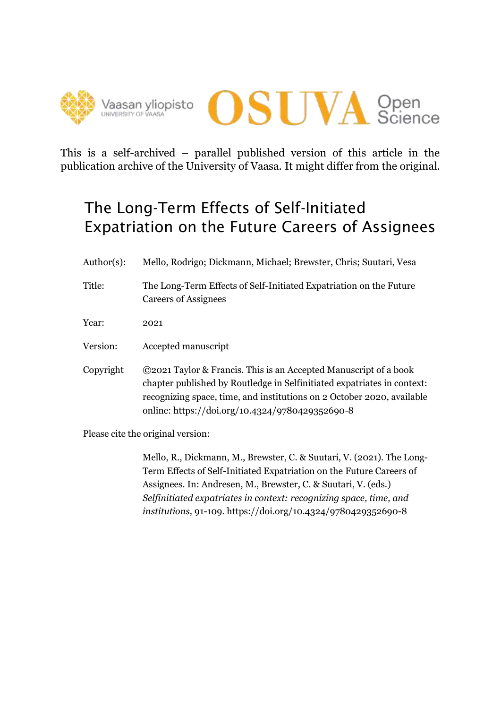



This is a self-archived – parallel published version of this article in the publication archive of the University of Vaasa. It might differ from the original.

# The Long-Term Effects of Self-Initiated Expatriation on the Future Careers of Assignees

- Author(s): Mello, Rodrigo; Dickmann, Michael; Brewster, Chris; Suutari, Vesa
- Title: The Long-Term Effects of Self-Initiated Expatriation on the Future Careers of Assignees

Year: 2021

Version: Accepted manuscript

Copyright ©2021 Taylor & Francis. This is an Accepted Manuscript of a book chapter published by Routledge in Selfinitiated expatriates in context: recognizing space, time, and institutions on 2 October 2020, available online: https://doi.org/10.4324/9780429352690-8

Please cite the original version:

Mello, R., Dickmann, M., Brewster, C. & Suutari, V. (2021). The Long-Term Effects of Self-Initiated Expatriation on the Future Careers of Assignees*.* In: Andresen, M., Brewster, C. & Suutari, V. (eds.) *Selfinitiated expatriates in context: recognizing space, time, and institutions,* 91-109*.* https://doi.org/10.4324/9780429352690-8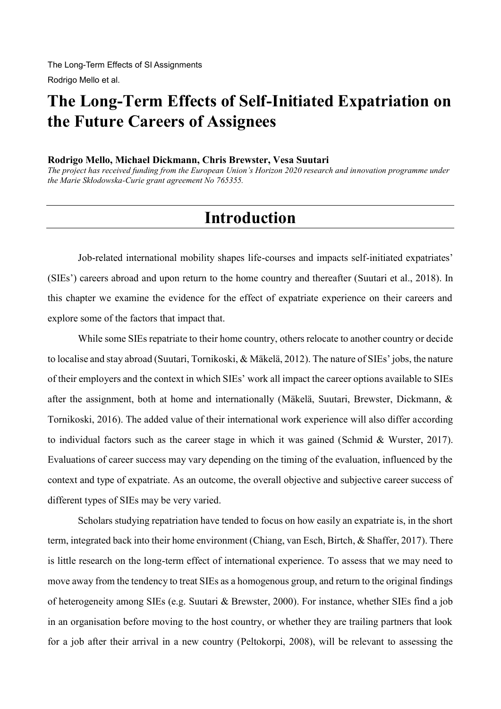# **The Long-Term Effects of Self-Initiated Expatriation on the Future Careers of Assignees**

#### **Rodrigo Mello, Michael Dickmann, Chris Brewster, Vesa Suutari**

*The project has received funding from the European Union's Horizon 2020 research and innovation programme under the Marie Skłodowska-Curie grant agreement No 765355.*

#### **Introduction**

Job-related international mobility shapes life-courses and impacts self-initiated expatriates' (SIEs') careers abroad and upon return to the home country and thereafter (Suutari et al., 2018). In this chapter we examine the evidence for the effect of expatriate experience on their careers and explore some of the factors that impact that.

While some SIEs repatriate to their home country, others relocate to another country or decide to localise and stay abroad (Suutari, Tornikoski, & Mäkelä, 2012). The nature of SIEs' jobs, the nature of their employers and the context in which SIEs' work all impact the career options available to SIEs after the assignment, both at home and internationally (Mäkelä, Suutari, Brewster, Dickmann, & Tornikoski, 2016). The added value of their international work experience will also differ according to individual factors such as the career stage in which it was gained (Schmid & Wurster, 2017). Evaluations of career success may vary depending on the timing of the evaluation, influenced by the context and type of expatriate. As an outcome, the overall objective and subjective career success of different types of SIEs may be very varied.

Scholars studying repatriation have tended to focus on how easily an expatriate is, in the short term, integrated back into their home environment (Chiang, van Esch, Birtch, & Shaffer, 2017). There is little research on the long-term effect of international experience. To assess that we may need to move away from the tendency to treat SIEs as a homogenous group, and return to the original findings of heterogeneity among SIEs (e.g. Suutari & Brewster, 2000). For instance, whether SIEs find a job in an organisation before moving to the host country, or whether they are trailing partners that look for a job after their arrival in a new country (Peltokorpi, 2008), will be relevant to assessing the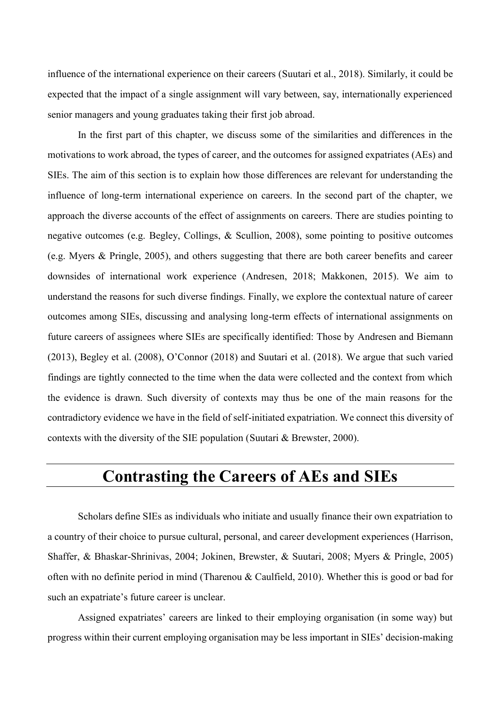influence of the international experience on their careers (Suutari et al., 2018). Similarly, it could be expected that the impact of a single assignment will vary between, say, internationally experienced senior managers and young graduates taking their first job abroad.

In the first part of this chapter, we discuss some of the similarities and differences in the motivations to work abroad, the types of career, and the outcomes for assigned expatriates (AEs) and SIEs. The aim of this section is to explain how those differences are relevant for understanding the influence of long-term international experience on careers. In the second part of the chapter, we approach the diverse accounts of the effect of assignments on careers. There are studies pointing to negative outcomes (e.g. Begley, Collings, & Scullion, 2008), some pointing to positive outcomes (e.g. Myers & Pringle, 2005), and others suggesting that there are both career benefits and career downsides of international work experience (Andresen, 2018; Makkonen, 2015). We aim to understand the reasons for such diverse findings. Finally, we explore the contextual nature of career outcomes among SIEs, discussing and analysing long-term effects of international assignments on future careers of assignees where SIEs are specifically identified: Those by Andresen and Biemann (2013), Begley et al. (2008), O'Connor (2018) and Suutari et al. (2018). We argue that such varied findings are tightly connected to the time when the data were collected and the context from which the evidence is drawn. Such diversity of contexts may thus be one of the main reasons for the contradictory evidence we have in the field of self-initiated expatriation. We connect this diversity of contexts with the diversity of the SIE population (Suutari & Brewster, 2000).

#### **Contrasting the Careers of AEs and SIEs**

Scholars define SIEs as individuals who initiate and usually finance their own expatriation to a country of their choice to pursue cultural, personal, and career development experiences (Harrison, Shaffer, & Bhaskar-Shrinivas, 2004; Jokinen, Brewster, & Suutari, 2008; Myers & Pringle, 2005) often with no definite period in mind (Tharenou & Caulfield, 2010). Whether this is good or bad for such an expatriate's future career is unclear.

Assigned expatriates' careers are linked to their employing organisation (in some way) but progress within their current employing organisation may be less important in SIEs' decision-making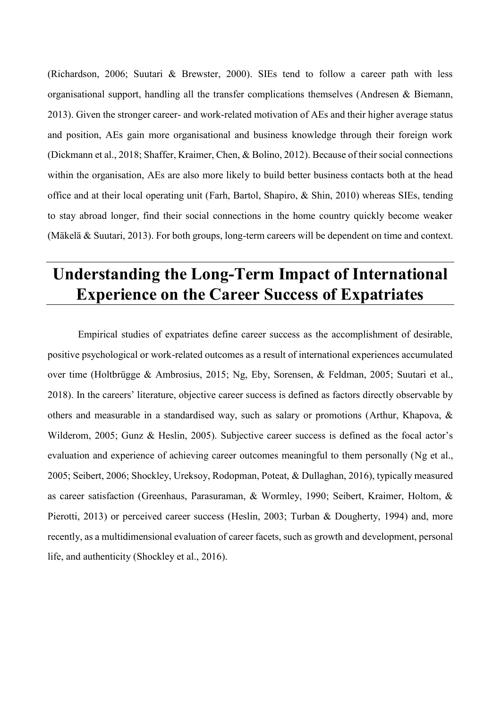(Richardson, 2006; Suutari & Brewster, 2000). SIEs tend to follow a career path with less organisational support, handling all the transfer complications themselves (Andresen & Biemann, 2013). Given the stronger career- and work-related motivation of AEs and their higher average status and position, AEs gain more organisational and business knowledge through their foreign work (Dickmann et al., 2018; Shaffer, Kraimer, Chen, & Bolino, 2012). Because of their social connections within the organisation, AEs are also more likely to build better business contacts both at the head office and at their local operating unit (Farh, Bartol, Shapiro, & Shin, 2010) whereas SIEs, tending to stay abroad longer, find their social connections in the home country quickly become weaker (Mäkelä & Suutari, 2013). For both groups, long-term careers will be dependent on time and context.

# **Understanding the Long-Term Impact of International Experience on the Career Success of Expatriates**

Empirical studies of expatriates define career success as the accomplishment of desirable, positive psychological or work-related outcomes as a result of international experiences accumulated over time (Holtbrügge & Ambrosius, 2015; Ng, Eby, Sorensen, & Feldman, 2005; Suutari et al., 2018). In the careers' literature, objective career success is defined as factors directly observable by others and measurable in a standardised way, such as salary or promotions (Arthur, Khapova, & Wilderom, 2005; Gunz & Heslin, 2005). Subjective career success is defined as the focal actor's evaluation and experience of achieving career outcomes meaningful to them personally (Ng et al., 2005; Seibert, 2006; Shockley, Ureksoy, Rodopman, Poteat, & Dullaghan, 2016), typically measured as career satisfaction (Greenhaus, Parasuraman, & Wormley, 1990; Seibert, Kraimer, Holtom, & Pierotti, 2013) or perceived career success (Heslin, 2003; Turban & Dougherty, 1994) and, more recently, as a multidimensional evaluation of career facets, such as growth and development, personal life, and authenticity (Shockley et al., 2016).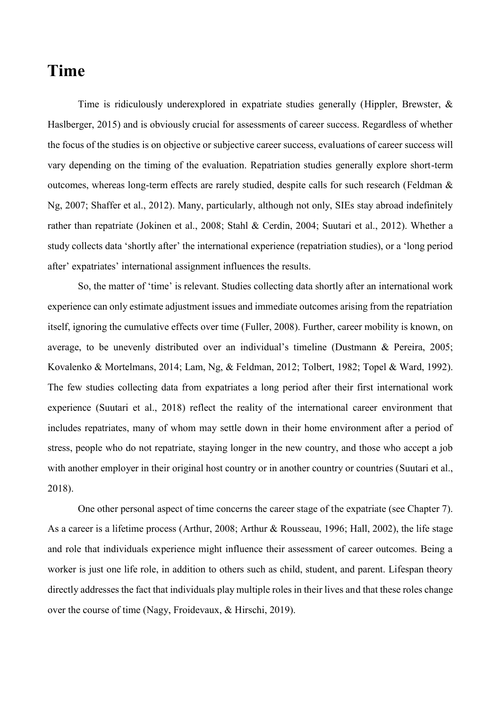#### **Time**

Time is ridiculously underexplored in expatriate studies generally (Hippler, Brewster, & Haslberger, 2015) and is obviously crucial for assessments of career success. Regardless of whether the focus of the studies is on objective or subjective career success, evaluations of career success will vary depending on the timing of the evaluation. Repatriation studies generally explore short-term outcomes, whereas long-term effects are rarely studied, despite calls for such research (Feldman & Ng, 2007; Shaffer et al., 2012). Many, particularly, although not only, SIEs stay abroad indefinitely rather than repatriate (Jokinen et al., 2008; Stahl & Cerdin, 2004; Suutari et al., 2012). Whether a study collects data 'shortly after' the international experience (repatriation studies), or a 'long period after' expatriates' international assignment influences the results.

So, the matter of 'time' is relevant. Studies collecting data shortly after an international work experience can only estimate adjustment issues and immediate outcomes arising from the repatriation itself, ignoring the cumulative effects over time (Fuller, 2008). Further, career mobility is known, on average, to be unevenly distributed over an individual's timeline (Dustmann & Pereira, 2005; Kovalenko & Mortelmans, 2014; Lam, Ng, & Feldman, 2012; Tolbert, 1982; Topel & Ward, 1992). The few studies collecting data from expatriates a long period after their first international work experience (Suutari et al., 2018) reflect the reality of the international career environment that includes repatriates, many of whom may settle down in their home environment after a period of stress, people who do not repatriate, staying longer in the new country, and those who accept a job with another employer in their original host country or in another country or countries (Suutari et al., 2018).

One other personal aspect of time concerns the career stage of the expatriate (see Chapter 7). As a career is a lifetime process (Arthur, 2008; Arthur & Rousseau, 1996; Hall, 2002), the life stage and role that individuals experience might influence their assessment of career outcomes. Being a worker is just one life role, in addition to others such as child, student, and parent. Lifespan theory directly addresses the fact that individuals play multiple roles in their lives and that these roles change over the course of time (Nagy, Froidevaux, & Hirschi, 2019).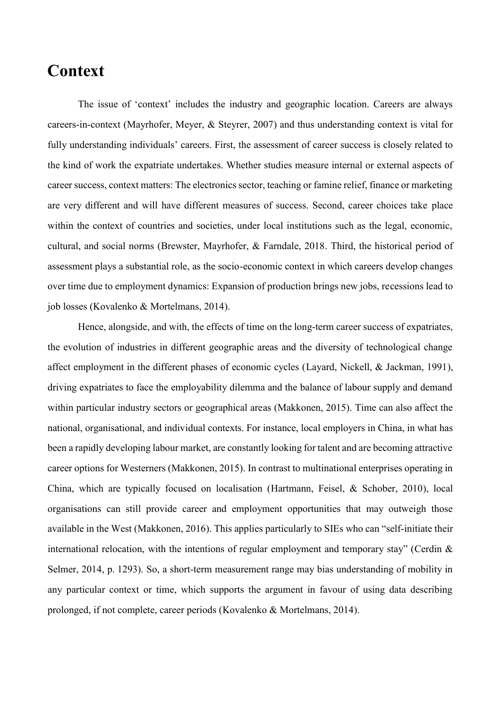#### **Context**

The issue of 'context' includes the industry and geographic location. Careers are always careers-in-context (Mayrhofer, Meyer, & Steyrer, 2007) and thus understanding context is vital for fully understanding individuals' careers. First, the assessment of career success is closely related to the kind of work the expatriate undertakes. Whether studies measure internal or external aspects of career success, context matters: The electronics sector, teaching or famine relief, finance or marketing are very different and will have different measures of success. Second, career choices take place within the context of countries and societies, under local institutions such as the legal, economic, cultural, and social norms (Brewster, Mayrhofer, & Farndale, 2018. Third, the historical period of assessment plays a substantial role, as the socio-economic context in which careers develop changes over time due to employment dynamics: Expansion of production brings new jobs, recessions lead to job losses (Kovalenko & Mortelmans, 2014).

Hence, alongside, and with, the effects of time on the long-term career success of expatriates, the evolution of industries in different geographic areas and the diversity of technological change affect employment in the different phases of economic cycles (Layard, Nickell, & Jackman, 1991), driving expatriates to face the employability dilemma and the balance of labour supply and demand within particular industry sectors or geographical areas (Makkonen, 2015). Time can also affect the national, organisational, and individual contexts. For instance, local employers in China, in what has been a rapidly developing labour market, are constantly looking for talent and are becoming attractive career options for Westerners (Makkonen, 2015). In contrast to multinational enterprises operating in China, which are typically focused on localisation (Hartmann, Feisel, & Schober, 2010), local organisations can still provide career and employment opportunities that may outweigh those available in the West (Makkonen, 2016). This applies particularly to SIEs who can "self-initiate their international relocation, with the intentions of regular employment and temporary stay" (Cerdin & Selmer, 2014, p. 1293). So, a short-term measurement range may bias understanding of mobility in any particular context or time, which supports the argument in favour of using data describing prolonged, if not complete, career periods (Kovalenko & Mortelmans, 2014).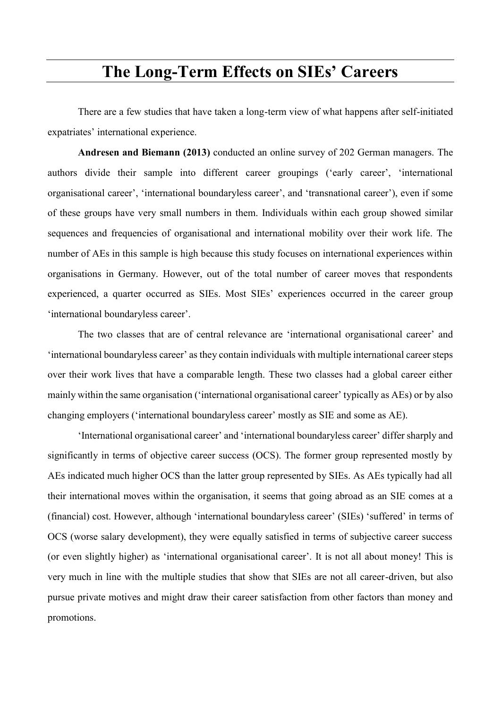## **The Long-Term Effects on SIEs' Careers**

There are a few studies that have taken a long-term view of what happens after self-initiated expatriates' international experience.

**Andresen and Biemann (2013)** conducted an online survey of 202 German managers. The authors divide their sample into different career groupings ('early career', 'international organisational career', 'international boundaryless career', and 'transnational career'), even if some of these groups have very small numbers in them. Individuals within each group showed similar sequences and frequencies of organisational and international mobility over their work life. The number of AEs in this sample is high because this study focuses on international experiences within organisations in Germany. However, out of the total number of career moves that respondents experienced, a quarter occurred as SIEs. Most SIEs' experiences occurred in the career group 'international boundaryless career'.

The two classes that are of central relevance are 'international organisational career' and 'international boundaryless career' as they contain individuals with multiple international career steps over their work lives that have a comparable length. These two classes had a global career either mainly within the same organisation ('international organisational career' typically as AEs) or by also changing employers ('international boundaryless career' mostly as SIE and some as AE).

'International organisational career' and 'international boundaryless career' differ sharply and significantly in terms of objective career success (OCS). The former group represented mostly by AEs indicated much higher OCS than the latter group represented by SIEs. As AEs typically had all their international moves within the organisation, it seems that going abroad as an SIE comes at a (financial) cost. However, although 'international boundaryless career' (SIEs) 'suffered' in terms of OCS (worse salary development), they were equally satisfied in terms of subjective career success (or even slightly higher) as 'international organisational career'. It is not all about money! This is very much in line with the multiple studies that show that SIEs are not all career-driven, but also pursue private motives and might draw their career satisfaction from other factors than money and promotions.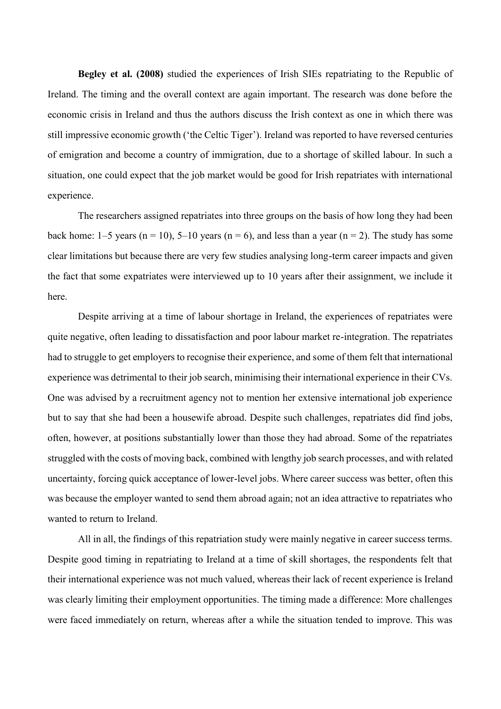**Begley et al. (2008)** studied the experiences of Irish SIEs repatriating to the Republic of Ireland. The timing and the overall context are again important. The research was done before the economic crisis in Ireland and thus the authors discuss the Irish context as one in which there was still impressive economic growth ('the Celtic Tiger'). Ireland was reported to have reversed centuries of emigration and become a country of immigration, due to a shortage of skilled labour. In such a situation, one could expect that the job market would be good for Irish repatriates with international experience.

The researchers assigned repatriates into three groups on the basis of how long they had been back home: 1–5 years (n = 10), 5–10 years (n = 6), and less than a year (n = 2). The study has some clear limitations but because there are very few studies analysing long-term career impacts and given the fact that some expatriates were interviewed up to 10 years after their assignment, we include it here.

Despite arriving at a time of labour shortage in Ireland, the experiences of repatriates were quite negative, often leading to dissatisfaction and poor labour market re-integration. The repatriates had to struggle to get employers to recognise their experience, and some of them felt that international experience was detrimental to their job search, minimising their international experience in their CVs. One was advised by a recruitment agency not to mention her extensive international job experience but to say that she had been a housewife abroad. Despite such challenges, repatriates did find jobs, often, however, at positions substantially lower than those they had abroad. Some of the repatriates struggled with the costs of moving back, combined with lengthy job search processes, and with related uncertainty, forcing quick acceptance of lower-level jobs. Where career success was better, often this was because the employer wanted to send them abroad again; not an idea attractive to repatriates who wanted to return to Ireland.

All in all, the findings of this repatriation study were mainly negative in career success terms. Despite good timing in repatriating to Ireland at a time of skill shortages, the respondents felt that their international experience was not much valued, whereas their lack of recent experience is Ireland was clearly limiting their employment opportunities. The timing made a difference: More challenges were faced immediately on return, whereas after a while the situation tended to improve. This was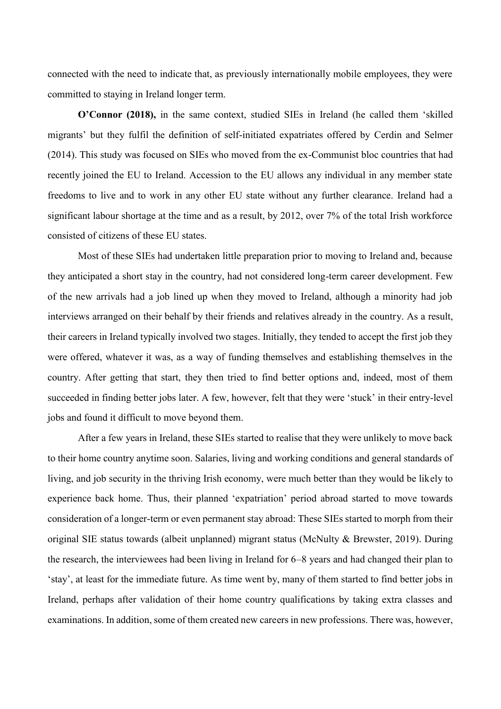connected with the need to indicate that, as previously internationally mobile employees, they were committed to staying in Ireland longer term.

**O'Connor (2018),** in the same context, studied SIEs in Ireland (he called them 'skilled migrants' but they fulfil the definition of self-initiated expatriates offered by Cerdin and Selmer (2014). This study was focused on SIEs who moved from the ex-Communist bloc countries that had recently joined the EU to Ireland. Accession to the EU allows any individual in any member state freedoms to live and to work in any other EU state without any further clearance. Ireland had a significant labour shortage at the time and as a result, by 2012, over 7% of the total Irish workforce consisted of citizens of these EU states.

Most of these SIEs had undertaken little preparation prior to moving to Ireland and, because they anticipated a short stay in the country, had not considered long-term career development. Few of the new arrivals had a job lined up when they moved to Ireland, although a minority had job interviews arranged on their behalf by their friends and relatives already in the country. As a result, their careers in Ireland typically involved two stages. Initially, they tended to accept the first job they were offered, whatever it was, as a way of funding themselves and establishing themselves in the country. After getting that start, they then tried to find better options and, indeed, most of them succeeded in finding better jobs later. A few, however, felt that they were 'stuck' in their entry-level jobs and found it difficult to move beyond them.

After a few years in Ireland, these SIEs started to realise that they were unlikely to move back to their home country anytime soon. Salaries, living and working conditions and general standards of living, and job security in the thriving Irish economy, were much better than they would be likely to experience back home. Thus, their planned 'expatriation' period abroad started to move towards consideration of a longer-term or even permanent stay abroad: These SIEs started to morph from their original SIE status towards (albeit unplanned) migrant status (McNulty & Brewster, 2019). During the research, the interviewees had been living in Ireland for 6–8 years and had changed their plan to 'stay', at least for the immediate future. As time went by, many of them started to find better jobs in Ireland, perhaps after validation of their home country qualifications by taking extra classes and examinations. In addition, some of them created new careers in new professions. There was, however,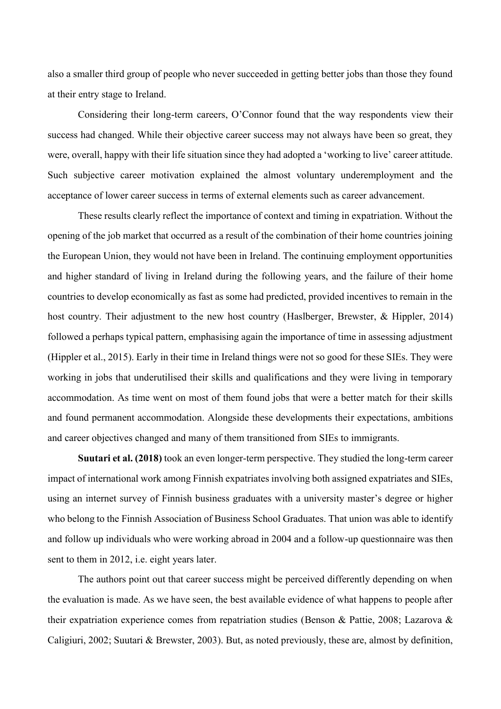also a smaller third group of people who never succeeded in getting better jobs than those they found at their entry stage to Ireland.

Considering their long-term careers, O'Connor found that the way respondents view their success had changed. While their objective career success may not always have been so great, they were, overall, happy with their life situation since they had adopted a 'working to live' career attitude. Such subjective career motivation explained the almost voluntary underemployment and the acceptance of lower career success in terms of external elements such as career advancement.

These results clearly reflect the importance of context and timing in expatriation. Without the opening of the job market that occurred as a result of the combination of their home countries joining the European Union, they would not have been in Ireland. The continuing employment opportunities and higher standard of living in Ireland during the following years, and the failure of their home countries to develop economically as fast as some had predicted, provided incentives to remain in the host country. Their adjustment to the new host country (Haslberger, Brewster, & Hippler, 2014) followed a perhaps typical pattern, emphasising again the importance of time in assessing adjustment (Hippler et al., 2015). Early in their time in Ireland things were not so good for these SIEs. They were working in jobs that underutilised their skills and qualifications and they were living in temporary accommodation. As time went on most of them found jobs that were a better match for their skills and found permanent accommodation. Alongside these developments their expectations, ambitions and career objectives changed and many of them transitioned from SIEs to immigrants.

**Suutari et al. (2018)** took an even longer-term perspective. They studied the long-term career impact of international work among Finnish expatriates involving both assigned expatriates and SIEs, using an internet survey of Finnish business graduates with a university master's degree or higher who belong to the Finnish Association of Business School Graduates. That union was able to identify and follow up individuals who were working abroad in 2004 and a follow-up questionnaire was then sent to them in 2012, i.e. eight years later.

The authors point out that career success might be perceived differently depending on when the evaluation is made. As we have seen, the best available evidence of what happens to people after their expatriation experience comes from repatriation studies (Benson & Pattie, 2008; Lazarova & Caligiuri, 2002; Suutari & Brewster, 2003). But, as noted previously, these are, almost by definition,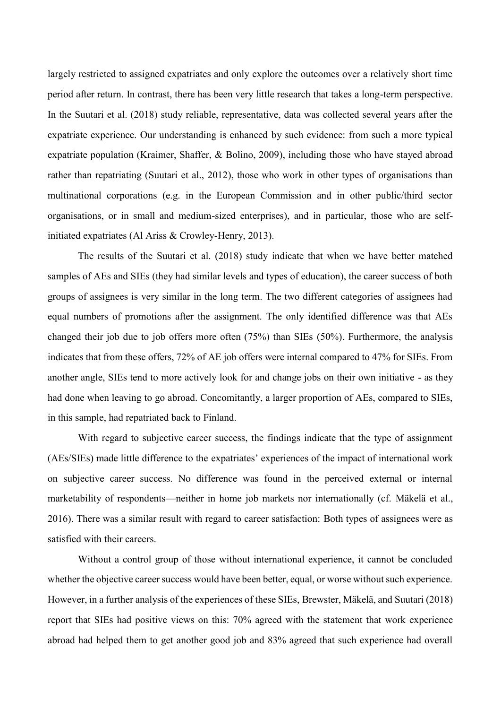largely restricted to assigned expatriates and only explore the outcomes over a relatively short time period after return. In contrast, there has been very little research that takes a long-term perspective. In the Suutari et al. (2018) study reliable, representative, data was collected several years after the expatriate experience. Our understanding is enhanced by such evidence: from such a more typical expatriate population (Kraimer, Shaffer, & Bolino, 2009), including those who have stayed abroad rather than repatriating (Suutari et al., 2012), those who work in other types of organisations than multinational corporations (e.g. in the European Commission and in other public/third sector organisations, or in small and medium-sized enterprises), and in particular, those who are selfinitiated expatriates (Al Ariss & Crowley-Henry, 2013).

The results of the Suutari et al. (2018) study indicate that when we have better matched samples of AEs and SIEs (they had similar levels and types of education), the career success of both groups of assignees is very similar in the long term. The two different categories of assignees had equal numbers of promotions after the assignment. The only identified difference was that AEs changed their job due to job offers more often (75%) than SIEs (50%). Furthermore, the analysis indicates that from these offers, 72% of AE job offers were internal compared to 47% for SIEs. From another angle, SIEs tend to more actively look for and change jobs on their own initiative - as they had done when leaving to go abroad. Concomitantly, a larger proportion of AEs, compared to SIEs, in this sample, had repatriated back to Finland.

With regard to subjective career success, the findings indicate that the type of assignment (AEs/SIEs) made little difference to the expatriates' experiences of the impact of international work on subjective career success. No difference was found in the perceived external or internal marketability of respondents—neither in home job markets nor internationally (cf. Mäkelä et al., 2016). There was a similar result with regard to career satisfaction: Both types of assignees were as satisfied with their careers.

Without a control group of those without international experience, it cannot be concluded whether the objective career success would have been better, equal, or worse without such experience. However, in a further analysis of the experiences of these SIEs, Brewster, Mäkelä, and Suutari (2018) report that SIEs had positive views on this: 70% agreed with the statement that work experience abroad had helped them to get another good job and 83% agreed that such experience had overall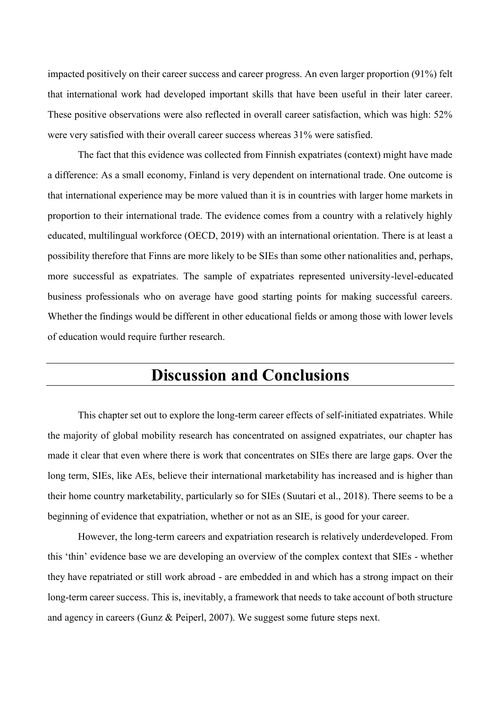impacted positively on their career success and career progress. An even larger proportion (91%) felt that international work had developed important skills that have been useful in their later career. These positive observations were also reflected in overall career satisfaction, which was high: 52% were very satisfied with their overall career success whereas 31% were satisfied.

The fact that this evidence was collected from Finnish expatriates (context) might have made a difference: As a small economy, Finland is very dependent on international trade. One outcome is that international experience may be more valued than it is in countries with larger home markets in proportion to their international trade. The evidence comes from a country with a relatively highly educated, multilingual workforce (OECD, 2019) with an international orientation. There is at least a possibility therefore that Finns are more likely to be SIEs than some other nationalities and, perhaps, more successful as expatriates. The sample of expatriates represented university-level-educated business professionals who on average have good starting points for making successful careers. Whether the findings would be different in other educational fields or among those with lower levels of education would require further research.

#### **Discussion and Conclusions**

This chapter set out to explore the long-term career effects of self-initiated expatriates. While the majority of global mobility research has concentrated on assigned expatriates, our chapter has made it clear that even where there is work that concentrates on SIEs there are large gaps. Over the long term, SIEs, like AEs, believe their international marketability has increased and is higher than their home country marketability, particularly so for SIEs (Suutari et al., 2018). There seems to be a beginning of evidence that expatriation, whether or not as an SIE, is good for your career.

However, the long-term careers and expatriation research is relatively underdeveloped. From this 'thin' evidence base we are developing an overview of the complex context that SIEs - whether they have repatriated or still work abroad - are embedded in and which has a strong impact on their long-term career success. This is, inevitably, a framework that needs to take account of both structure and agency in careers (Gunz & Peiperl, 2007). We suggest some future steps next.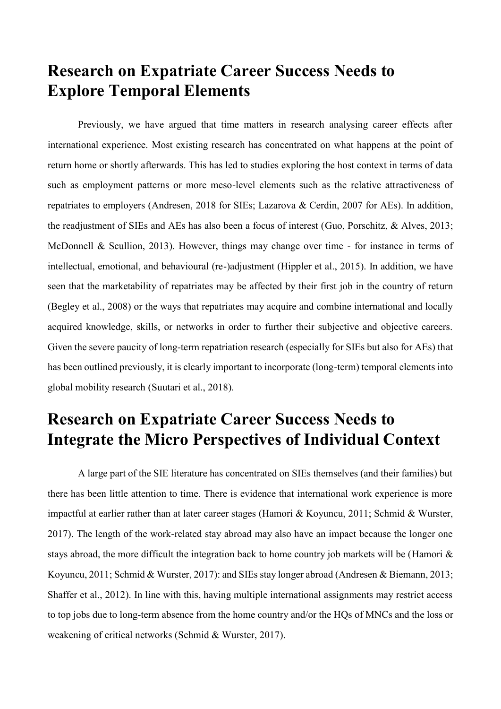## **Research on Expatriate Career Success Needs to Explore Temporal Elements**

Previously, we have argued that time matters in research analysing career effects after international experience. Most existing research has concentrated on what happens at the point of return home or shortly afterwards. This has led to studies exploring the host context in terms of data such as employment patterns or more meso-level elements such as the relative attractiveness of repatriates to employers (Andresen, 2018 for SIEs; Lazarova & Cerdin, 2007 for AEs). In addition, the readjustment of SIEs and AEs has also been a focus of interest (Guo, Porschitz, & Alves, 2013; McDonnell & Scullion, 2013). However, things may change over time - for instance in terms of intellectual, emotional, and behavioural (re-)adjustment (Hippler et al., 2015). In addition, we have seen that the marketability of repatriates may be affected by their first job in the country of return (Begley et al., 2008) or the ways that repatriates may acquire and combine international and locally acquired knowledge, skills, or networks in order to further their subjective and objective careers. Given the severe paucity of long-term repatriation research (especially for SIEs but also for AEs) that has been outlined previously, it is clearly important to incorporate (long-term) temporal elements into global mobility research (Suutari et al., 2018).

#### **Research on Expatriate Career Success Needs to Integrate the Micro Perspectives of Individual Context**

A large part of the SIE literature has concentrated on SIEs themselves (and their families) but there has been little attention to time. There is evidence that international work experience is more impactful at earlier rather than at later career stages (Hamori & Koyuncu, 2011; Schmid & Wurster, 2017). The length of the work-related stay abroad may also have an impact because the longer one stays abroad, the more difficult the integration back to home country job markets will be (Hamori & Koyuncu, 2011; Schmid & Wurster, 2017): and SIEs stay longer abroad (Andresen & Biemann, 2013; Shaffer et al., 2012). In line with this, having multiple international assignments may restrict access to top jobs due to long-term absence from the home country and/or the HQs of MNCs and the loss or weakening of critical networks (Schmid & Wurster, 2017).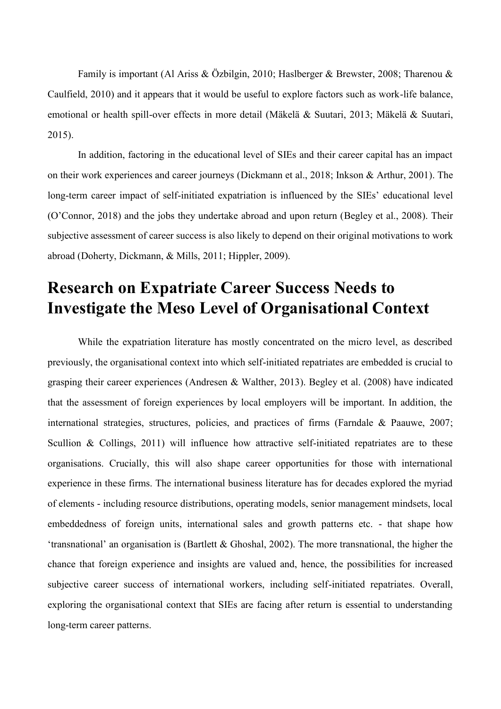Family is important (Al Ariss & Özbilgin, 2010; Haslberger & Brewster, 2008; Tharenou & Caulfield, 2010) and it appears that it would be useful to explore factors such as work-life balance, emotional or health spill-over effects in more detail (Mäkelä & Suutari, 2013; Mäkelä & Suutari, 2015).

In addition, factoring in the educational level of SIEs and their career capital has an impact on their work experiences and career journeys (Dickmann et al., 2018; Inkson & Arthur, 2001). The long-term career impact of self-initiated expatriation is influenced by the SIEs' educational level (O'Connor, 2018) and the jobs they undertake abroad and upon return (Begley et al., 2008). Their subjective assessment of career success is also likely to depend on their original motivations to work abroad (Doherty, Dickmann, & Mills, 2011; Hippler, 2009).

## **Research on Expatriate Career Success Needs to Investigate the Meso Level of Organisational Context**

While the expatriation literature has mostly concentrated on the micro level, as described previously, the organisational context into which self-initiated repatriates are embedded is crucial to grasping their career experiences (Andresen & Walther, 2013). Begley et al. (2008) have indicated that the assessment of foreign experiences by local employers will be important. In addition, the international strategies, structures, policies, and practices of firms (Farndale & Paauwe, 2007; Scullion & Collings, 2011) will influence how attractive self-initiated repatriates are to these organisations. Crucially, this will also shape career opportunities for those with international experience in these firms. The international business literature has for decades explored the myriad of elements - including resource distributions, operating models, senior management mindsets, local embeddedness of foreign units, international sales and growth patterns etc. - that shape how 'transnational' an organisation is (Bartlett & Ghoshal, 2002). The more transnational, the higher the chance that foreign experience and insights are valued and, hence, the possibilities for increased subjective career success of international workers, including self-initiated repatriates. Overall, exploring the organisational context that SIEs are facing after return is essential to understanding long-term career patterns.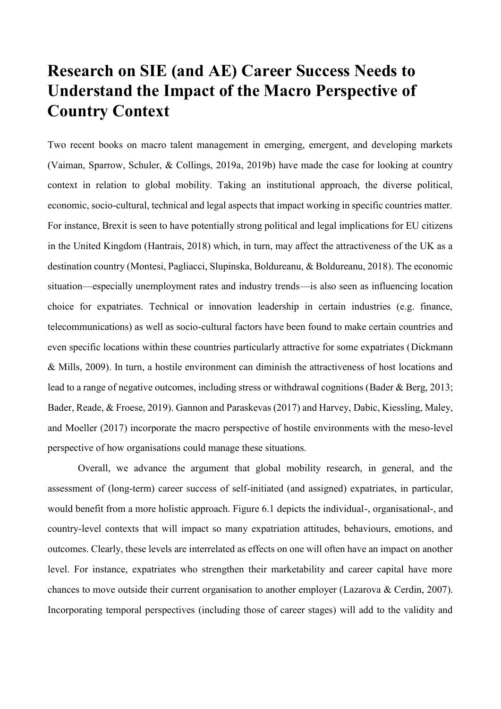# **Research on SIE (and AE) Career Success Needs to Understand the Impact of the Macro Perspective of Country Context**

Two recent books on macro talent management in emerging, emergent, and developing markets (Vaiman, Sparrow, Schuler, & Collings, 2019a, 2019b) have made the case for looking at country context in relation to global mobility. Taking an institutional approach, the diverse political, economic, socio-cultural, technical and legal aspects that impact working in specific countries matter. For instance, Brexit is seen to have potentially strong political and legal implications for EU citizens in the United Kingdom (Hantrais, 2018) which, in turn, may affect the attractiveness of the UK as a destination country (Montesi, Pagliacci, Slupinska, Boldureanu, & Boldureanu, 2018). The economic situation—especially unemployment rates and industry trends—is also seen as influencing location choice for expatriates. Technical or innovation leadership in certain industries (e.g. finance, telecommunications) as well as socio-cultural factors have been found to make certain countries and even specific locations within these countries particularly attractive for some expatriates (Dickmann & Mills, 2009). In turn, a hostile environment can diminish the attractiveness of host locations and lead to a range of negative outcomes, including stress or withdrawal cognitions (Bader & Berg, 2013; Bader, Reade, & Froese, 2019). Gannon and Paraskevas (2017) and Harvey, Dabic, Kiessling, Maley, and Moeller (2017) incorporate the macro perspective of hostile environments with the meso-level perspective of how organisations could manage these situations.

Overall, we advance the argument that global mobility research, in general, and the assessment of (long-term) career success of self-initiated (and assigned) expatriates, in particular, would benefit from a more holistic approach. Figure 6.1 depicts the individual-, organisational-, and country-level contexts that will impact so many expatriation attitudes, behaviours, emotions, and outcomes. Clearly, these levels are interrelated as effects on one will often have an impact on another level. For instance, expatriates who strengthen their marketability and career capital have more chances to move outside their current organisation to another employer (Lazarova & Cerdin, 2007). Incorporating temporal perspectives (including those of career stages) will add to the validity and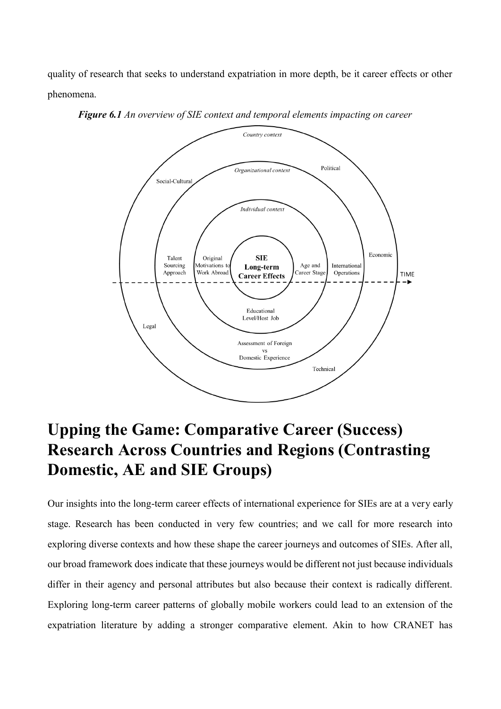quality of research that seeks to understand expatriation in more depth, be it career effects or other phenomena.



*Figure 6.1 An overview of SIE context and temporal elements impacting on career*

# **Upping the Game: Comparative Career (Success) Research Across Countries and Regions (Contrasting Domestic, AE and SIE Groups)**

Our insights into the long-term career effects of international experience for SIEs are at a very early stage. Research has been conducted in very few countries; and we call for more research into exploring diverse contexts and how these shape the career journeys and outcomes of SIEs. After all, our broad framework does indicate that these journeys would be different not just because individuals differ in their agency and personal attributes but also because their context is radically different. Exploring long-term career patterns of globally mobile workers could lead to an extension of the expatriation literature by adding a stronger comparative element. Akin to how CRANET has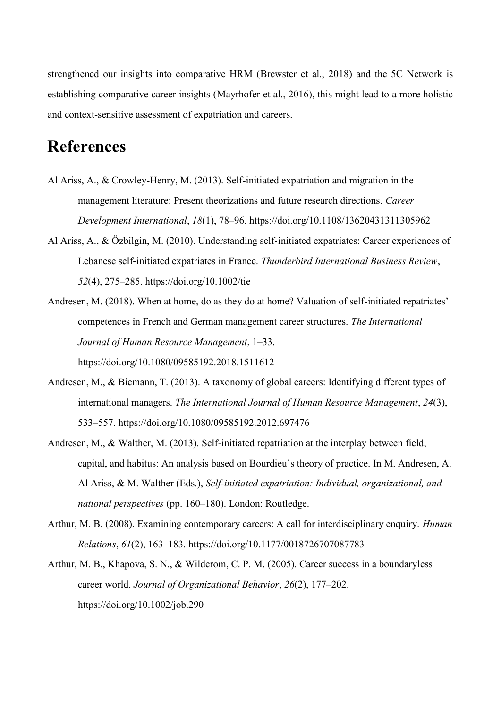strengthened our insights into comparative HRM (Brewster et al., 2018) and the 5C Network is establishing comparative career insights (Mayrhofer et al., 2016), this might lead to a more holistic and context-sensitive assessment of expatriation and careers.

## **References**

- Al Ariss, A., & Crowley-Henry, M. (2013). Self-initiated expatriation and migration in the management literature: Present theorizations and future research directions. *Career Development International*, *18*(1), 78–96. https://doi.org/10.1108/13620431311305962
- Al Ariss, A., & Özbilgin, M. (2010). Understanding self‐initiated expatriates: Career experiences of Lebanese self‐initiated expatriates in France. *Thunderbird International Business Review*, *52*(4), 275–285. https://doi.org/10.1002/tie
- Andresen, M. (2018). When at home, do as they do at home? Valuation of self-initiated repatriates' competences in French and German management career structures. *The International Journal of Human Resource Management*, 1–33. https://doi.org/10.1080/09585192.2018.1511612
- Andresen, M., & Biemann, T. (2013). A taxonomy of global careers: Identifying different types of international managers. *The International Journal of Human Resource Management*, *24*(3), 533–557. https://doi.org/10.1080/09585192.2012.697476
- Andresen, M., & Walther, M. (2013). Self-initiated repatriation at the interplay between field, capital, and habitus: An analysis based on Bourdieu's theory of practice. In M. Andresen, A. Al Ariss, & M. Walther (Eds.), *Self-initiated expatriation: Individual, organizational, and national perspectives* (pp. 160–180). London: Routledge.
- Arthur, M. B. (2008). Examining contemporary careers: A call for interdisciplinary enquiry. *Human Relations*, *61*(2), 163–183. https://doi.org/10.1177/0018726707087783
- Arthur, M. B., Khapova, S. N., & Wilderom, C. P. M. (2005). Career success in a boundaryless career world. *Journal of Organizational Behavior*, *26*(2), 177–202. https://doi.org/10.1002/job.290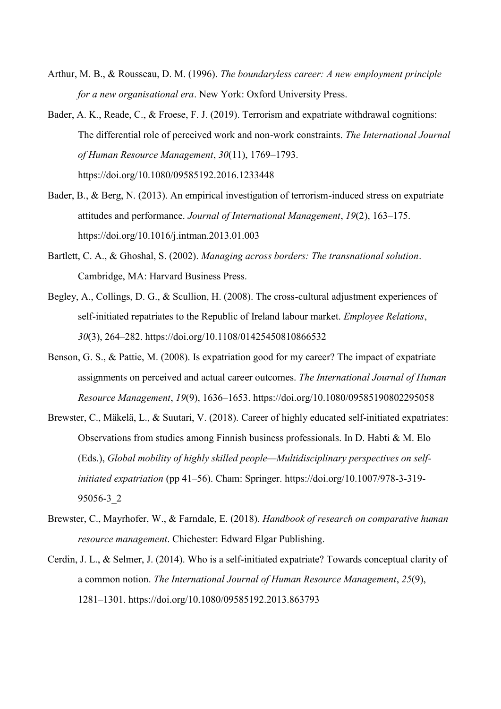- Arthur, M. B., & Rousseau, D. M. (1996). *The boundaryless career: A new employment principle for a new organisational era*. New York: Oxford University Press.
- Bader, A. K., Reade, C., & Froese, F. J. (2019). Terrorism and expatriate withdrawal cognitions: The differential role of perceived work and non-work constraints. *The International Journal of Human Resource Management*, *30*(11), 1769–1793. https://doi.org/10.1080/09585192.2016.1233448
- Bader, B., & Berg, N. (2013). An empirical investigation of terrorism-induced stress on expatriate attitudes and performance. *Journal of International Management*, *19*(2), 163–175. https://doi.org/10.1016/j.intman.2013.01.003
- Bartlett, C. A., & Ghoshal, S. (2002). *Managing across borders: The transnational solution*. Cambridge, MA: Harvard Business Press.
- Begley, A., Collings, D. G., & Scullion, H. (2008). The cross-cultural adjustment experiences of self-initiated repatriates to the Republic of Ireland labour market. *Employee Relations*, *30*(3), 264–282. https://doi.org/10.1108/01425450810866532
- Benson, G. S., & Pattie, M. (2008). Is expatriation good for my career? The impact of expatriate assignments on perceived and actual career outcomes. *The International Journal of Human Resource Management*, *19*(9), 1636–1653. https://doi.org/10.1080/09585190802295058
- Brewster, C., Mäkelä, L., & Suutari, V. (2018). Career of highly educated self-initiated expatriates: Observations from studies among Finnish business professionals. In D. Habti & M. Elo (Eds.), *Global mobility of highly skilled people—Multidisciplinary perspectives on selfinitiated expatriation* (pp 41–56). Cham: Springer. https://doi.org/10.1007/978-3-319- 95056-3\_2
- Brewster, C., Mayrhofer, W., & Farndale, E. (2018). *Handbook of research on comparative human resource management*. Chichester: Edward Elgar Publishing.
- Cerdin, J. L., & Selmer, J. (2014). Who is a self-initiated expatriate? Towards conceptual clarity of a common notion. *The International Journal of Human Resource Management*, *25*(9), 1281–1301. https://doi.org/10.1080/09585192.2013.863793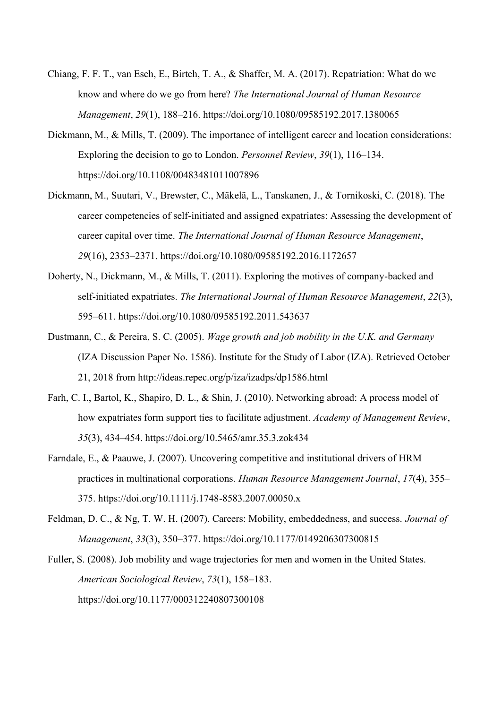- Chiang, F. F. T., van Esch, E., Birtch, T. A., & Shaffer, M. A. (2017). Repatriation: What do we know and where do we go from here? *The International Journal of Human Resource Management*, *29*(1), 188–216. https://doi.org/10.1080/09585192.2017.1380065
- Dickmann, M., & Mills, T. (2009). The importance of intelligent career and location considerations: Exploring the decision to go to London. *Personnel Review*, *39*(1), 116–134. https://doi.org/10.1108/00483481011007896
- Dickmann, M., Suutari, V., Brewster, C., Mäkelä, L., Tanskanen, J., & Tornikoski, C. (2018). The career competencies of self-initiated and assigned expatriates: Assessing the development of career capital over time. *The International Journal of Human Resource Management*, *29*(16), 2353–2371. https://doi.org/10.1080/09585192.2016.1172657
- Doherty, N., Dickmann, M., & Mills, T. (2011). Exploring the motives of company-backed and self-initiated expatriates. *The International Journal of Human Resource Management*, *22*(3), 595–611. https://doi.org/10.1080/09585192.2011.543637
- Dustmann, C., & Pereira, S. C. (2005). *Wage growth and job mobility in the U.K. and Germany* (IZA Discussion Paper No. 1586). Institute for the Study of Labor (IZA). Retrieved October 21, 2018 from http://ideas.repec.org/p/iza/izadps/dp1586.html
- Farh, C. I., Bartol, K., Shapiro, D. L., & Shin, J. (2010). Networking abroad: A process model of how expatriates form support ties to facilitate adjustment. *Academy of Management Review*, *35*(3), 434–454. https://doi.org/10.5465/amr.35.3.zok434
- Farndale, E., & Paauwe, J. (2007). Uncovering competitive and institutional drivers of HRM practices in multinational corporations. *Human Resource Management Journal*, *17*(4), 355– 375. https://doi.org/10.1111/j.1748-8583.2007.00050.x
- Feldman, D. C., & Ng, T. W. H. (2007). Careers: Mobility, embeddedness, and success. *Journal of Management*, *33*(3), 350–377. https://doi.org/10.1177/0149206307300815
- Fuller, S. (2008). Job mobility and wage trajectories for men and women in the United States. *American Sociological Review*, *73*(1), 158–183. https://doi.org/10.1177/000312240807300108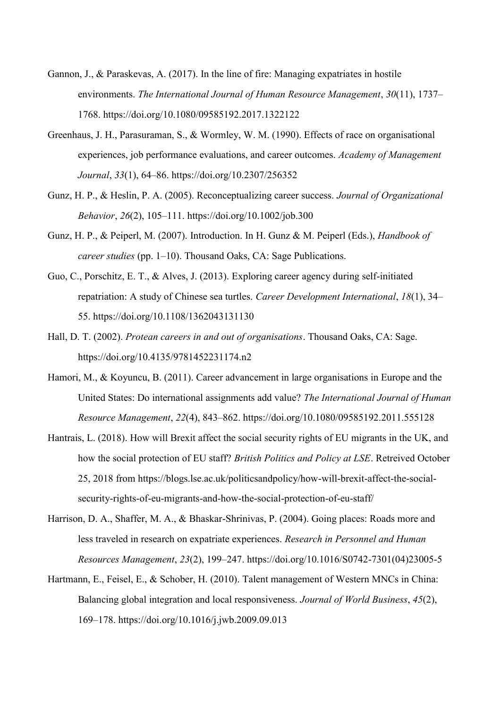- Gannon, J., & Paraskevas, A. (2017). In the line of fire: Managing expatriates in hostile environments. *The International Journal of Human Resource Management*, *30*(11), 1737– 1768. https://doi.org/10.1080/09585192.2017.1322122
- Greenhaus, J. H., Parasuraman, S., & Wormley, W. M. (1990). Effects of race on organisational experiences, job performance evaluations, and career outcomes. *Academy of Management Journal*, *33*(1), 64–86. https://doi.org/10.2307/256352
- Gunz, H. P., & Heslin, P. A. (2005). Reconceptualizing career success. *Journal of Organizational Behavior*, *26*(2), 105–111. https://doi.org/10.1002/job.300
- Gunz, H. P., & Peiperl, M. (2007). Introduction. In H. Gunz & M. Peiperl (Eds.), *Handbook of career studies* (pp. 1–10). Thousand Oaks, CA: Sage Publications.
- Guo, C., Porschitz, E. T., & Alves, J. (2013). Exploring career agency during self-initiated repatriation: A study of Chinese sea turtles. *Career Development International*, *18*(1), 34– 55. https://doi.org/10.1108/1362043131130
- Hall, D. T. (2002). *Protean careers in and out of organisations*. Thousand Oaks, CA: Sage. https://doi.org/10.4135/9781452231174.n2
- Hamori, M., & Koyuncu, B. (2011). Career advancement in large organisations in Europe and the United States: Do international assignments add value? *The International Journal of Human Resource Management*, *22*(4), 843–862. https://doi.org/10.1080/09585192.2011.555128
- Hantrais, L. (2018). How will Brexit affect the social security rights of EU migrants in the UK, and how the social protection of EU staff? *British Politics and Policy at LSE*. Retreived October 25, 2018 from https://blogs.lse.ac.uk/politicsandpolicy/how-will-brexit-affect-the-socialsecurity-rights-of-eu-migrants-and-how-the-social-protection-of-eu-staff/
- Harrison, D. A., Shaffer, M. A., & Bhaskar-Shrinivas, P. (2004). Going places: Roads more and less traveled in research on expatriate experiences. *Research in Personnel and Human Resources Management*, *23*(2), 199–247. https://doi.org/10.1016/S0742-7301(04)23005-5
- Hartmann, E., Feisel, E., & Schober, H. (2010). Talent management of Western MNCs in China: Balancing global integration and local responsiveness. *Journal of World Business*, *45*(2), 169–178. https://doi.org/10.1016/j.jwb.2009.09.013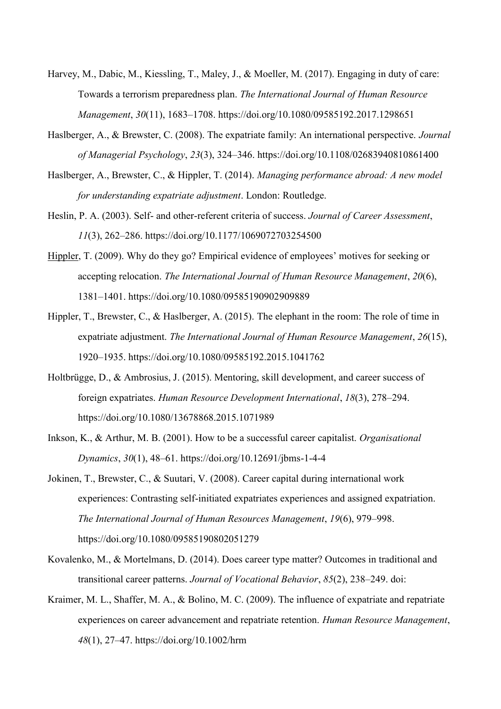- Harvey, M., Dabic, M., Kiessling, T., Maley, J., & Moeller, M. (2017). Engaging in duty of care: Towards a terrorism preparedness plan. *The International Journal of Human Resource Management*, *30*(11), 1683–1708. https://doi.org/10.1080/09585192.2017.1298651
- Haslberger, A., & Brewster, C. (2008). The expatriate family: An international perspective. *Journal of Managerial Psychology*, *23*(3), 324–346. https://doi.org/10.1108/02683940810861400
- Haslberger, A., Brewster, C., & Hippler, T. (2014). *Managing performance abroad: A new model for understanding expatriate adjustment*. London: Routledge.
- Heslin, P. A. (2003). Self- and other-referent criteria of success. *Journal of Career Assessment*, *11*(3), 262–286. https://doi.org/10.1177/1069072703254500
- Hippler, T. (2009). Why do they go? Empirical evidence of employees' motives for seeking or accepting relocation. *The International Journal of Human Resource Management*, *20*(6), 1381–1401. https://doi.org/10.1080/09585190902909889
- Hippler, T., Brewster, C., & Haslberger, A. (2015). The elephant in the room: The role of time in expatriate adjustment. *The International Journal of Human Resource Management*, *26*(15), 1920–1935. https://doi.org/10.1080/09585192.2015.1041762
- Holtbrügge, D., & Ambrosius, J. (2015). Mentoring, skill development, and career success of foreign expatriates. *Human Resource Development International*, *18*(3), 278–294. https://doi.org/10.1080/13678868.2015.1071989
- Inkson, K., & Arthur, M. B. (2001). How to be a successful career capitalist. *Organisational Dynamics*, *30*(1), 48–61. https://doi.org/10.12691/jbms-1-4-4
- Jokinen, T., Brewster, C., & Suutari, V. (2008). Career capital during international work experiences: Contrasting self-initiated expatriates experiences and assigned expatriation. *The International Journal of Human Resources Management*, *19*(6), 979–998. https://doi.org/10.1080/09585190802051279
- Kovalenko, M., & Mortelmans, D. (2014). Does career type matter? Outcomes in traditional and transitional career patterns. *Journal of Vocational Behavior*, *85*(2), 238–249. doi:
- Kraimer, M. L., Shaffer, M. A., & Bolino, M. C. (2009). The influence of expatriate and repatriate experiences on career advancement and repatriate retention. *Human Resource Management*, *48*(1), 27–47. https://doi.org/10.1002/hrm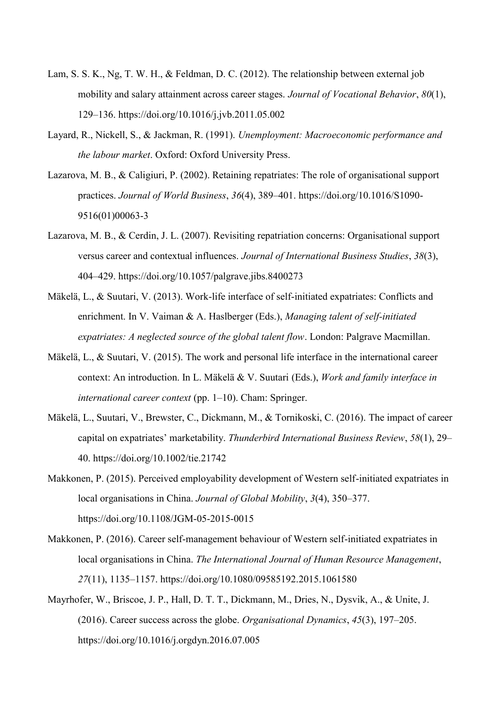- Lam, S. S. K., Ng, T. W. H., & Feldman, D. C. (2012). The relationship between external job mobility and salary attainment across career stages. *Journal of Vocational Behavior*, *80*(1), 129–136. https://doi.org/10.1016/j.jvb.2011.05.002
- Layard, R., Nickell, S., & Jackman, R. (1991). *Unemployment: Macroeconomic performance and the labour market*. Oxford: Oxford University Press.
- Lazarova, M. B., & Caligiuri, P. (2002). Retaining repatriates: The role of organisational support practices. *Journal of World Business*, *36*(4), 389–401. https://doi.org/10.1016/S1090- 9516(01)00063-3
- Lazarova, M. B., & Cerdin, J. L. (2007). Revisiting repatriation concerns: Organisational support versus career and contextual influences. *Journal of International Business Studies*, *38*(3), 404–429. https://doi.org/10.1057/palgrave.jibs.8400273
- Mäkelä, L., & Suutari, V. (2013). Work-life interface of self-initiated expatriates: Conflicts and enrichment. In V. Vaiman & A. Haslberger (Eds.), *Managing talent of self-initiated expatriates: A neglected source of the global talent flow*. London: Palgrave Macmillan.
- Mäkelä, L., & Suutari, V. (2015). The work and personal life interface in the international career context: An introduction. In L. Mäkelä & V. Suutari (Eds.), *Work and family interface in international career context* (pp. 1–10). Cham: Springer.
- Mäkelä, L., Suutari, V., Brewster, C., Dickmann, M., & Tornikoski, C. (2016). The impact of career capital on expatriates' marketability. *Thunderbird International Business Review*, *58*(1), 29– 40. https://doi.org/10.1002/tie.21742
- Makkonen, P. (2015). Perceived employability development of Western self-initiated expatriates in local organisations in China. *Journal of Global Mobility*, *3*(4), 350–377. https://doi.org/10.1108/JGM-05-2015-0015
- Makkonen, P. (2016). Career self-management behaviour of Western self-initiated expatriates in local organisations in China. *The International Journal of Human Resource Management*, *27*(11), 1135–1157. https://doi.org/10.1080/09585192.2015.1061580
- Mayrhofer, W., Briscoe, J. P., Hall, D. T. T., Dickmann, M., Dries, N., Dysvik, A., & Unite, J. (2016). Career success across the globe. *Organisational Dynamics*, *45*(3), 197–205. https://doi.org/10.1016/j.orgdyn.2016.07.005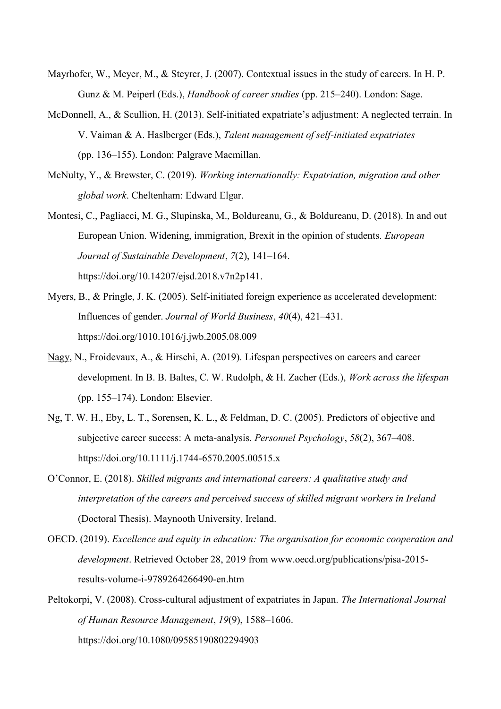- Mayrhofer, W., Meyer, M., & Steyrer, J. (2007). Contextual issues in the study of careers. In H. P. Gunz & M. Peiperl (Eds.), *Handbook of career studies* (pp. 215–240). London: Sage.
- McDonnell, A., & Scullion, H. (2013). Self-initiated expatriate's adjustment: A neglected terrain. In V. Vaiman & A. Haslberger (Eds.), *Talent management of self-initiated expatriates* (pp. 136–155). London: Palgrave Macmillan.
- McNulty, Y., & Brewster, C. (2019). *Working internationally: Expatriation, migration and other global work*. Cheltenham: Edward Elgar.
- Montesi, C., Pagliacci, M. G., Slupinska, M., Boldureanu, G., & Boldureanu, D. (2018). In and out European Union. Widening, immigration, Brexit in the opinion of students. *European Journal of Sustainable Development*, *7*(2), 141–164. https://doi.org/10.14207/ejsd.2018.v7n2p141.
- Myers, B., & Pringle, J. K. (2005). Self-initiated foreign experience as accelerated development: Influences of gender. *Journal of World Business*, *40*(4), 421–431. https://doi.org/1010.1016/j.jwb.2005.08.009
- Nagy, N., Froidevaux, A., & Hirschi, A. (2019). Lifespan perspectives on careers and career development. In B. B. Baltes, C. W. Rudolph, & H. Zacher (Eds.), *Work across the lifespan* (pp. 155–174). London: Elsevier.
- Ng, T. W. H., Eby, L. T., Sorensen, K. L., & Feldman, D. C. (2005). Predictors of objective and subjective career success: A meta-analysis. *Personnel Psychology*, *58*(2), 367–408. https://doi.org/10.1111/j.1744-6570.2005.00515.x
- O'Connor, E. (2018). *Skilled migrants and international careers: A qualitative study and interpretation of the careers and perceived success of skilled migrant workers in Ireland* (Doctoral Thesis). Maynooth University, Ireland.
- OECD. (2019). *Excellence and equity in education: The organisation for economic cooperation and development*. Retrieved October 28, 2019 from www.oecd.org/publications/pisa-2015 results-volume-i-9789264266490-en.htm
- Peltokorpi, V. (2008). Cross-cultural adjustment of expatriates in Japan. *The International Journal of Human Resource Management*, *19*(9), 1588–1606. https://doi.org/10.1080/09585190802294903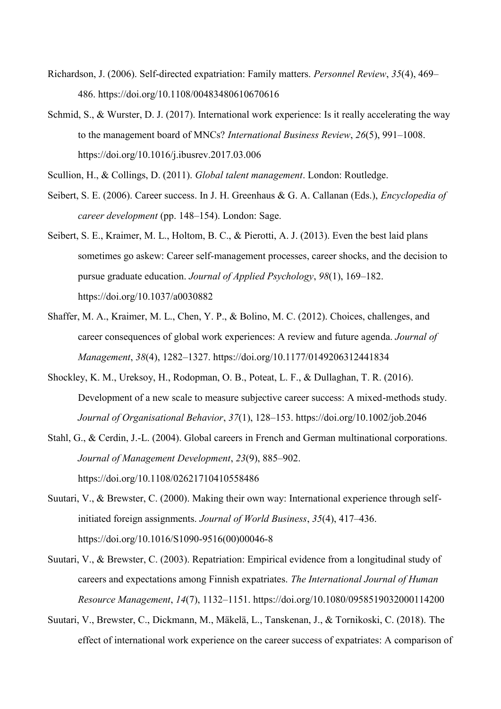- Richardson, J. (2006). Self-directed expatriation: Family matters. *Personnel Review*, *35*(4), 469– 486. https://doi.org/10.1108/00483480610670616
- Schmid, S., & Wurster, D. J. (2017). International work experience: Is it really accelerating the way to the management board of MNCs? *International Business Review*, *26*(5), 991–1008. https://doi.org/10.1016/j.ibusrev.2017.03.006
- Scullion, H., & Collings, D. (2011). *Global talent management*. London: Routledge.
- Seibert, S. E. (2006). Career success. In J. H. Greenhaus & G. A. Callanan (Eds.), *Encyclopedia of career development* (pp. 148–154). London: Sage.
- Seibert, S. E., Kraimer, M. L., Holtom, B. C., & Pierotti, A. J. (2013). Even the best laid plans sometimes go askew: Career self-management processes, career shocks, and the decision to pursue graduate education. *Journal of Applied Psychology*, *98*(1), 169–182. https://doi.org/10.1037/a0030882
- Shaffer, M. A., Kraimer, M. L., Chen, Y. P., & Bolino, M. C. (2012). Choices, challenges, and career consequences of global work experiences: A review and future agenda. *Journal of Management*, *38*(4), 1282–1327. https://doi.org/10.1177/0149206312441834
- Shockley, K. M., Ureksoy, H., Rodopman, O. B., Poteat, L. F., & Dullaghan, T. R. (2016). Development of a new scale to measure subjective career success: A mixed-methods study. *Journal of Organisational Behavior*, *37*(1), 128–153. https://doi.org/10.1002/job.2046
- Stahl, G., & Cerdin, J.-L. (2004). Global careers in French and German multinational corporations. *Journal of Management Development*, *23*(9), 885–902. https://doi.org/10.1108/02621710410558486
- Suutari, V., & Brewster, C. (2000). Making their own way: International experience through selfinitiated foreign assignments. *Journal of World Business*, *35*(4), 417–436. https://doi.org/10.1016/S1090-9516(00)00046-8
- Suutari, V., & Brewster, C. (2003). Repatriation: Empirical evidence from a longitudinal study of careers and expectations among Finnish expatriates. *The International Journal of Human Resource Management*, *14*(7), 1132–1151. https://doi.org/10.1080/0958519032000114200
- Suutari, V., Brewster, C., Dickmann, M., Mäkelä, L., Tanskenan, J., & Tornikoski, C. (2018). The effect of international work experience on the career success of expatriates: A comparison of